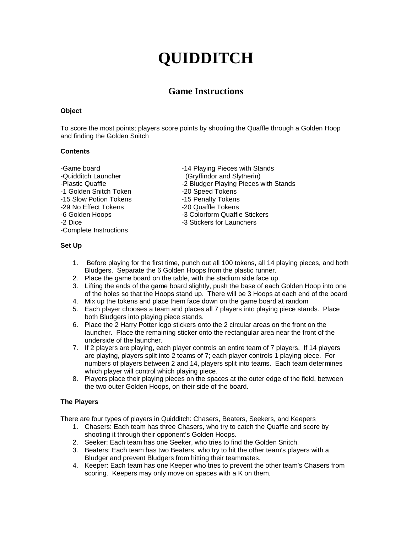# **QUIDDITCH**

# **Game Instructions**

#### **Object**

To score the most points; players score points by shooting the Quaffle through a Golden Hoop and finding the Golden Snitch

#### **Contents**

-1 Golden Snitch Token -20 Speed Tokens<br>-15 Slow Potion Tokens -15 Penalty Tokens -15 Slow Potion Tokens -15 Penalty Tokens -29 No Effect Tokens<br>-6 Golden Hoops -Complete Instructions

-Game board **-14 Playing Pieces with Stands** -Quidditch Launcher (Gryffindor and Slytherin) -Plastic Quaffle -2 Bludger Playing Pieces with Stands<br>-1 Golden Snitch Token -20 Speed Tokens -3 Colorform Quaffle Stickers -2 Dice -3 Stickers for Launchers

# **Set Up**

- 1. Before playing for the first time, punch out all 100 tokens, all 14 playing pieces, and both Bludgers. Separate the 6 Golden Hoops from the plastic runner.
- 2. Place the game board on the table, with the stadium side face up.
- 3. Lifting the ends of the game board slightly, push the base of each Golden Hoop into one of the holes so that the Hoops stand up. There will be 3 Hoops at each end of the board
- 4. Mix up the tokens and place them face down on the game board at random
- 5. Each player chooses a team and places all 7 players into playing piece stands. Place both Bludgers into playing piece stands.
- 6. Place the 2 Harry Potter logo stickers onto the 2 circular areas on the front on the launcher. Place the remaining sticker onto the rectangular area near the front of the underside of the launcher.
- 7. If 2 players are playing, each player controls an entire team of 7 players. If 14 players are playing, players split into 2 teams of 7; each player controls 1 playing piece. For numbers of players between 2 and 14, players split into teams. Each team determines which player will control which playing piece.
- 8. Players place their playing pieces on the spaces at the outer edge of the field, between the two outer Golden Hoops, on their side of the board.

# **The Players**

There are four types of players in Quidditch: Chasers, Beaters, Seekers, and Keepers

- 1. Chasers: Each team has three Chasers, who try to catch the Quaffle and score by shooting it through their opponent's Golden Hoops.
- 2. Seeker: Each team has one Seeker, who tries to find the Golden Snitch.
- 3. Beaters: Each team has two Beaters, who try to hit the other team's players with a Bludger and prevent Bludgers from hitting their teammates.
- 4. Keeper: Each team has one Keeper who tries to prevent the other team's Chasers from scoring. Keepers may only move on spaces with a K on them.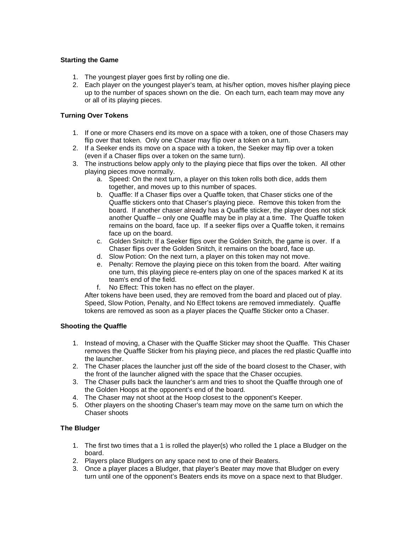#### **Starting the Game**

- 1. The youngest player goes first by rolling one die.
- 2. Each player on the youngest player's team, at his/her option, moves his/her playing piece up to the number of spaces shown on the die. On each turn, each team may move any or all of its playing pieces.

#### **Turning Over Tokens**

- 1. If one or more Chasers end its move on a space with a token, one of those Chasers may flip over that token. Only one Chaser may flip over a token on a turn.
- 2. If a Seeker ends its move on a space with a token, the Seeker may flip over a token (even if a Chaser flips over a token on the same turn).
- 3. The instructions below apply only to the playing piece that flips over the token. All other playing pieces move normally.
	- a. Speed: On the next turn, a player on this token rolls both dice, adds them together, and moves up to this number of spaces.
	- b. Quaffle: If a Chaser flips over a Quaffle token, that Chaser sticks one of the Quaffle stickers onto that Chaser's playing piece. Remove this token from the board. If another chaser already has a Quaffle sticker, the player does not stick another Quaffle – only one Quaffle may be in play at a time. The Quaffle token remains on the board, face up. If a seeker flips over a Quaffle token, it remains face up on the board.
	- c. Golden Snitch: If a Seeker flips over the Golden Snitch, the game is over. If a Chaser flips over the Golden Snitch, it remains on the board, face up.
	- d. Slow Potion: On the next turn, a player on this token may not move.
	- e. Penalty: Remove the playing piece on this token from the board. After waiting one turn, this playing piece re-enters play on one of the spaces marked K at its team's end of the field.
	- f. No Effect: This token has no effect on the player.

After tokens have been used, they are removed from the board and placed out of play. Speed, Slow Potion, Penalty, and No Effect tokens are removed immediately. Quaffle tokens are removed as soon as a player places the Quaffle Sticker onto a Chaser.

# **Shooting the Quaffle**

- 1. Instead of moving, a Chaser with the Quaffle Sticker may shoot the Quaffle. This Chaser removes the Quaffle Sticker from his playing piece, and places the red plastic Quaffle into the launcher.
- 2. The Chaser places the launcher just off the side of the board closest to the Chaser, with the front of the launcher aligned with the space that the Chaser occupies.
- 3. The Chaser pulls back the launcher's arm and tries to shoot the Quaffle through one of the Golden Hoops at the opponent's end of the board.
- 4. The Chaser may not shoot at the Hoop closest to the opponent's Keeper.
- 5. Other players on the shooting Chaser's team may move on the same turn on which the Chaser shoots

# **The Bludger**

- 1. The first two times that a 1 is rolled the player(s) who rolled the 1 place a Bludger on the board.
- 2. Players place Bludgers on any space next to one of their Beaters.
- 3. Once a player places a Bludger, that player's Beater may move that Bludger on every turn until one of the opponent's Beaters ends its move on a space next to that Bludger.